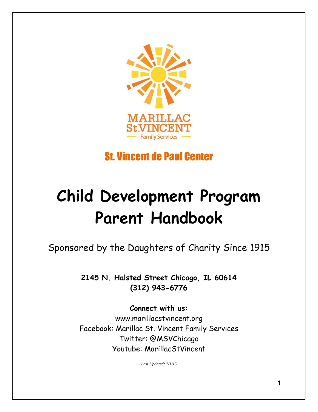

# St. Vincent de Paul Center

# **Child Development Program Parent Handbook**

Sponsored by the Daughters of Charity Since 1915

**2145 N. Halsted Street Chicago, IL 60614 (312) 943-6776**

**Connect with us:** www.marillacstvincent.org Facebook: Marillac St. Vincent Family Services Twitter: @MSVChicago Youtube: MarillacStVincent

*Last Updated: 7/1/15*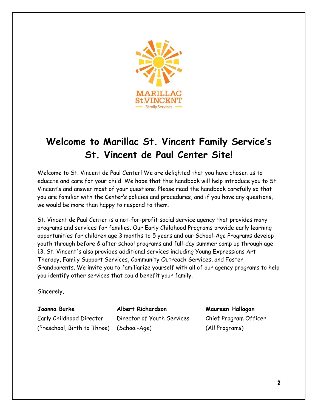

## **Welcome to Marillac St. Vincent Family Service's St. Vincent de Paul Center Site!**

Welcome to St. Vincent de Paul Center! We are delighted that you have chosen us to educate and care for your child. We hope that this handbook will help introduce you to St. Vincent's and answer most of your questions. Please read the handbook carefully so that you are familiar with the Center's policies and procedures, and if you have any questions, we would be more than happy to respond to them.

St. Vincent de Paul Center is a not-for-profit social service agency that provides many programs and services for families. Our Early Childhood Programs provide early learning opportunities for children age 3 months to 5 years and our School-Age Programs develop youth through before & after school programs and full-day summer camp up through age 13. St. Vincent's also provides additional services including Young Expressions Art Therapy, Family Support Services, Community Outreach Services, and Foster Grandparents. We invite you to familiarize yourself with all of our agency programs to help you identify other services that could benefit your family.

Sincerely,

**Joanna Burke Albert Richardson Maureen Hallagan** Early Childhood Director Director of Youth Services Chief Program Officer (Preschool, Birth to Three) (School-Age) (All Programs)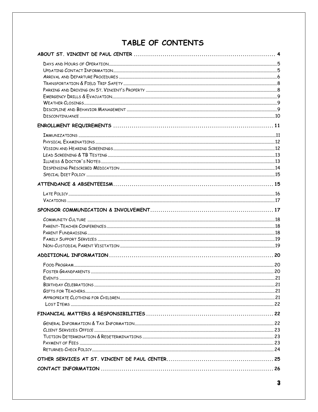## TABLE OF CONTENTS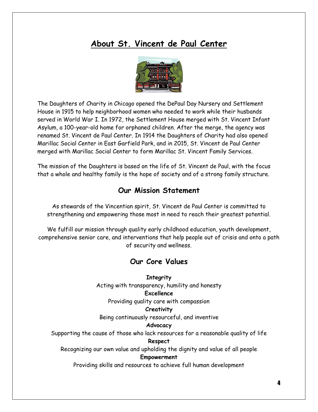## **About St. Vincent de Paul Center**



The Daughters of Charity in Chicago opened the DePaul Day Nursery and Settlement House in 1915 to help neighborhood women who needed to work while their husbands served in World War I. In 1972, the Settlement House merged with St. Vincent Infant Asylum, a 100-year-old home for orphaned children. After the merge, the agency was renamed St. Vincent de Paul Center. In 1914 the Daughters of Charity had also opened Marillac Social Center in East Garfield Park, and in 2015, St. Vincent de Paul Center merged with Marillac Social Center to form Marillac St. Vincent Family Services.

The mission of the Daughters is based on the life of St. Vincent de Paul, with the focus that a whole and healthy family is the hope of society and of a strong family structure.

#### **Our Mission Statement**

As stewards of the Vincentian spirit, St. Vincent de Paul Center is committed to strengthening and empowering those most in need to reach their greatest potential.

We fulfill our mission through quality early childhood education, youth development, comprehensive senior care, and interventions that help people out of crisis and onto a path of security and wellness.

#### **Our Core Values**

**Integrity** Acting with transparency, humility and honesty **Excellence**

Providing quality care with compassion

#### **Creativity**

Being continuously resourceful, and inventive

#### **Advocacy**

Supporting the cause of those who lack resources for a reasonable quality of life

#### **Respect**

Recognizing our own value and upholding the dignity and value of all people **Empowerment**

Providing skills and resources to achieve full human development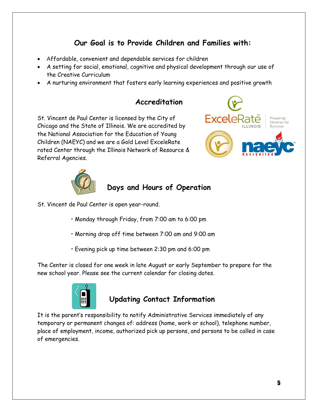#### **Our Goal is to Provide Children and Families with:**

- Affordable, convenient and dependable services for children
- A setting for social, emotional, cognitive and physical development through our use of the Creative Curriculum
- A nurturing environment that fosters early learning experiences and positive growth

#### **Accreditation**

St. Vincent de Paul Center is licensed by the City of Chicago and the State of Illinois. We are accredited by the National Association for the Education of Young Children (NAEYC) and we are a Gold Level ExceleRate rated Center through the Illinois Network of Resource & Referral Agencies.





#### **Days and Hours of Operation**

St. Vincent de Paul Center is open year-round.

- Monday through Friday, from 7:00 am to 6:00 pm
- Morning drop off time between 7:00 am and 9:00 am
- Evening pick up time between 2:30 pm and 6:00 pm

The Center is closed for one week in late August or early September to prepare for the new school year. Please see the current calendar for closing dates.



#### **Updating Contact Information**

It is the parent's responsibility to notify Administrative Services immediately of any temporary or permanent changes of: address (home, work or school), telephone number, place of employment, income, authorized pick up persons, and persons to be called in case of emergencies.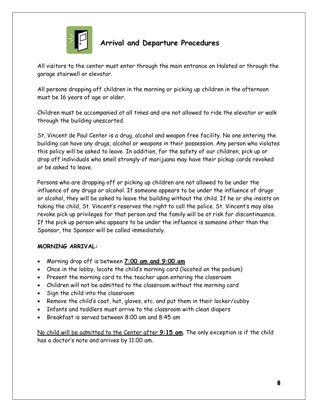

## **Arrival and Departure Procedures**

All visitors to the center must enter through the main entrance on Halsted or through the garage stairwell or elevator.

All persons dropping off children in the morning or picking up children in the afternoon must be 16 years of age or older.

Children must be accompanied at all times and are not allowed to ride the elevator or walk through the building unescorted.

St. Vincent de Paul Center is a drug, alcohol and weapon free facility. No one entering the building can have any drugs, alcohol or weapons in their possession. Any person who violates this policy will be asked to leave. In addition, for the safety of our children, pick up or drop off individuals who smell strongly of marijuana may have their pickup cards revoked or be asked to leave.

Persons who are dropping off or picking up children are not allowed to be under the influence of any drugs or alcohol. If someone appears to be under the influence of drugs or alcohol, they will be asked to leave the building without the child. If he or she insists on taking the child, St. Vincent's reserves the right to call the police. St. Vincent's may also revoke pick up privileges for that person and the family will be at risk for discontinuance. If the pick up person who appears to be under the influence is someone other than the Sponsor, the Sponsor will be called immediately.

#### **MORNING ARRIVAL:**

- Morning drop off is between **7:00 am and 9:00 am**
- Once in the lobby, locate the child's morning card (located on the podium)
- Present the morning card to the teacher upon entering the classroom
- Children will not be admitted to the classroom without the morning card
- Sign the child into the classroom
- Remove the child's coat, hat, gloves, etc. and put them in their locker/cubby
- Infants and toddlers must arrive to the classroom with clean diapers
- Breakfast is served between 8:00 am and 8:45 am

No child will be admitted to the Center after **9:15 am**. The only exception is if the child has a doctor's note and arrives by 11:00 am.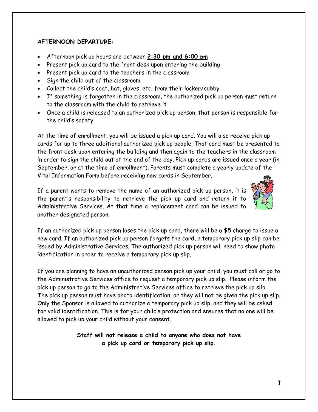#### **AFTERNOON DEPARTURE:**

- Afternoon pick up hours are between **2:30 pm and 6:00 pm**
- Present pick up card to the front desk upon entering the building
- Present pick up card to the teachers in the classroom
- Sign the child out of the classroom
- Collect the child's coat, hat, gloves, etc. from their locker/cubby
- If something is forgotten in the classroom, the authorized pick up person must return to the classroom with the child to retrieve it
- Once a child is released to an authorized pick up person, that person is responsible for the child's safety

At the time of enrollment, you will be issued a pick up card. You will also receive pick up cards for up to three additional authorized pick up people. That card must be presented to the front desk upon entering the building and then again to the teachers in the classroom in order to sign the child out at the end of the day. Pick up cards are issued once a year (in September, or at the time of enrollment). Parents must complete a yearly update of the Vital Information Form before receiving new cards in September.

If a parent wants to remove the name of an authorized pick up person, it is the parent's responsibility to retrieve the pick up card and return it to Administrative Services. At that time a replacement card can be issued to another designated person.



If an authorized pick up person loses the pick up card, there will be a \$5 charge to issue a new card. If an authorized pick up person forgets the card, a temporary pick up slip can be issued by Administrative Services. The authorized pick up person will need to show photo identification in order to receive a temporary pick up slip.

If you are planning to have an unauthorized person pick up your child, you must call or go to the Administrative Services office to request a temporary pick up slip. Please inform the pick up person to go to the Administrative Services office to retrieve the pick up slip. The pick up person must have photo identification, or they will not be given the pick up slip. Only the Sponsor is allowed to authorize a temporary pick up slip, and they will be asked for valid identification. This is for your child's protection and ensures that no one will be allowed to pick up your child without your consent.

> **Staff will not release a child to anyone who does not have a pick up card or temporary pick up slip.**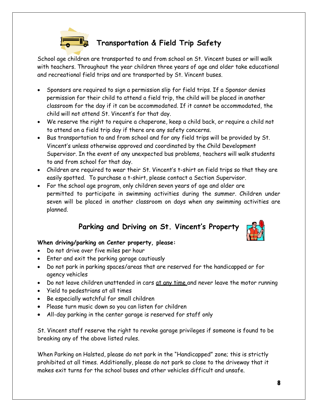

#### **Transportation & Field Trip Safety**

School age children are transported to and from school on St. Vincent buses or will walk with teachers. Throughout the year children three years of age and older take educational and recreational field trips and are transported by St. Vincent buses.

- Sponsors are required to sign a permission slip for field trips. If a Sponsor denies permission for their child to attend a field trip, the child will be placed in another classroom for the day if it can be accommodated. If it cannot be accommodated, the child will not attend St. Vincent's for that day.
- We reserve the right to require a chaperone, keep a child back, or require a child not to attend on a field trip day if there are any safety concerns.
- Bus transportation to and from school and for any field trips will be provided by St. Vincent's unless otherwise approved and coordinated by the Child Development Supervisor. In the event of any unexpected bus problems, teachers will walk students to and from school for that day.
- Children are required to wear their St. Vincent's t-shirt on field trips so that they are easily spotted. To purchase a t-shirt, please contact a Section Supervisor.
- For the school age program, only children seven years of age and older are permitted to participate in swimming activities during the summer. Children under seven will be placed in another classroom on days when any swimming activities are planned.

## **Parking and Driving on St. Vincent's Property**



#### **When driving/parking on Center property, please:**

- Do not drive over five miles per hour
- Enter and exit the parking garage cautiously
- Do not park in parking spaces/areas that are reserved for the handicapped or for agency vehicles
- Do not leave children unattended in cars at any time and never leave the motor running
- Yield to pedestrians at all times
- Be especially watchful for small children
- Please turn music down so you can listen for children
- All-day parking in the center garage is reserved for staff only

St. Vincent staff reserve the right to revoke garage privileges if someone is found to be breaking any of the above listed rules.

When Parking on Halsted, please do not park in the "Handicapped" zone; this is strictly prohibited at all times. Additionally, please do not park so close to the driveway that it makes exit turns for the school buses and other vehicles difficult and unsafe.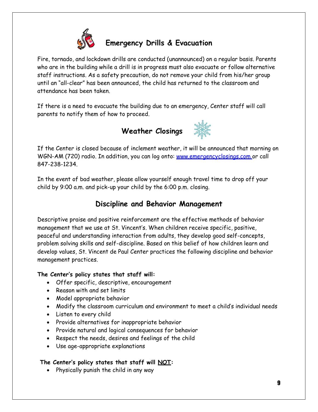

# **Emergency Drills & Evacuation**

Fire, tornado, and lockdown drills are conducted (unannounced) on a regular basis. Parents who are in the building while a drill is in progress must also evacuate or follow alternative staff instructions. As a safety precaution, do not remove your child from his/her group until an "all-clear" has been announced, the child has returned to the classroom and attendance has been taken.

If there is a need to evacuate the building due to an emergency, Center staff will call parents to notify them of how to proceed.





If the Center is closed because of inclement weather, it will be announced that morning on WGN-AM (720) radio. In addition, you can log onto: [www.emergencyclosings.com o](http://www.emergencyclosings.com/)r call 847-238-1234.

In the event of bad weather, please allow yourself enough travel time to drop off your child by 9:00 a.m. and pick-up your child by the 6:00 p.m. closing.

#### **Discipline and Behavior Management**

Descriptive praise and positive reinforcement are the effective methods of behavior management that we use at St. Vincent's. When children receive specific, positive, peaceful and understanding interaction from adults, they develop good self-concepts, problem solving skills and self-discipline. Based on this belief of how children learn and develop values, St. Vincent de Paul Center practices the following discipline and behavior management practices.

#### **The Center's policy states that staff will:**

- Offer specific, descriptive, encouragement
- Reason with and set limits
- Model appropriate behavior
- Modify the classroom curriculum and environment to meet a child's individual needs
- Listen to every child
- Provide alternatives for inappropriate behavior
- Provide natural and logical consequences for behavior
- Respect the needs, desires and feelings of the child
- Use age-appropriate explanations

#### **The Center's policy states that staff will NOT:**

Physically punish the child in any way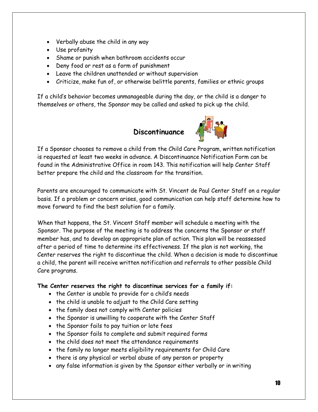- Verbally abuse the child in any way
- Use profanity
- Shame or punish when bathroom accidents occur
- Deny food or rest as a form of punishment
- Leave the children unattended or without supervision
- Criticize, make fun of, or otherwise belittle parents, families or ethnic groups

If a child's behavior becomes unmanageable during the day, or the child is a danger to themselves or others, the Sponsor may be called and asked to pick up the child.

## **Discontinuance**



If a Sponsor chooses to remove a child from the Child Care Program, written notification is requested at least two weeks in advance. A Discontinuance Notification Form can be found in the Administrative Office in room 143. This notification will help Center Staff better prepare the child and the classroom for the transition.

Parents are encouraged to communicate with St. Vincent de Paul Center Staff on a regular basis. If a problem or concern arises, good communication can help staff determine how to move forward to find the best solution for a family.

When that happens, the St. Vincent Staff member will schedule a meeting with the Sponsor. The purpose of the meeting is to address the concerns the Sponsor or staff member has, and to develop an appropriate plan of action. This plan will be reassessed after a period of time to determine its effectiveness. If the plan is not working, the Center reserves the right to discontinue the child. When a decision is made to discontinue a child, the parent will receive written notification and referrals to other possible Child Care programs.

#### **The Center reserves the right to discontinue services for a family if:**

- the Center is unable to provide for a child's needs
- the child is unable to adjust to the Child Care setting
- the family does not comply with Center policies
- the Sponsor is unwilling to cooperate with the Center Staff
- the Sponsor fails to pay tuition or late fees
- the Sponsor fails to complete and submit required forms
- the child does not meet the attendance requirements
- the family no longer meets eligibility requirements for Child Care
- there is any physical or verbal abuse of any person or property
- any false information is given by the Sponsor either verbally or in writing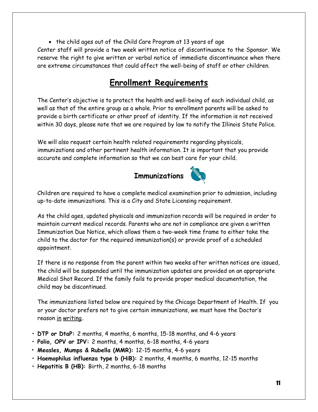• the child ages out of the Child Care Program at 13 years of age Center staff will provide a two week written notice of discontinuance to the Sponsor. We reserve the right to give written or verbal notice of immediate discontinuance when there are extreme circumstances that could affect the well-being of staff or other children.

## **Enrollment Requirements**

The Center's objective is to protect the health and well-being of each individual child, as well as that of the entire group as a whole. Prior to enrollment parents will be asked to provide a birth certificate or other proof of identity. If the information is not received within 30 days, please note that we are required by law to notify the Illinois State Police.

We will also request certain health related requirements regarding physicals, immunizations and other pertinent health information. It is important that you provide accurate and complete information so that we can best care for your child.



Children are required to have a complete medical examination prior to admission, including up-to-date immunizations. This is a City and State Licensing requirement.

As the child ages, updated physicals and immunization records will be required in order to maintain current medical records. Parents who are not in compliance are given a written Immunization Due Notice, which allows them a two-week time frame to either take the child to the doctor for the required immunization(s) or provide proof of a scheduled appointment.

If there is no response from the parent within two weeks after written notices are issued, the child will be suspended until the immunization updates are provided on an appropriate Medical Shot Record. If the family fails to provide proper medical documentation, the child may be discontinued.

The immunizations listed below are required by the Chicago Department of Health. If you or your doctor prefers not to give certain immunizations, we must have the Doctor's reason in writing**.**

- **• DTP or DtaP:** 2 months, 4 months, 6 months, 15-18 months, and 4-6 years
- **• Polio, OPV or IPV:** 2 months, 4 months, 6-18 months, 4-6 years
- **• Measles, Mumps & Rubella (MMR):** 12-15 months, 4-6 years
- **• Haemophilus influenza type b (HiB):** 2 months, 4 months, 6 months, 12-15 months
- **• Hepatitis B (HB):** Birth, 2 months, 6-18 months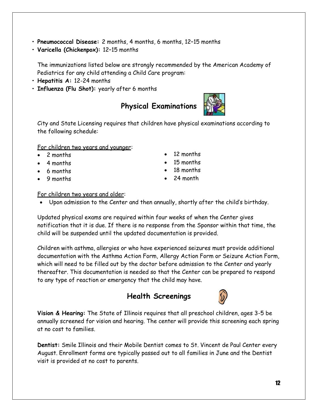- **• Pneumococcal Disease:** 2 months, 4 months, 6 months, 12–15 months
- **• Varicella (Chickenpox):** 12–15 months

The immunizations listed below are strongly recommended by the American Academy of Pediatrics for any child attending a Child Care program:

- **• Hepatitis A:** 12-24 months
- **• Influenza (Flu Shot):** yearly after 6 months

## **Physical Examinations**

City and State Licensing requires that children have physical examinations according to the following schedule:

For children two years and younger:

- 2 months
- 4 months
- 6 months
- 9 months
- 12 months
- 15 months
- 18 months
- 24 month

#### For children two years and older:

Upon admission to the Center and then annually, shortly after the child's birthday.

Updated physical exams are required within four weeks of when the Center gives notification that it is due. If there is no response from the Sponsor within that time, the child will be suspended until the updated documentation is provided.

Children with asthma, allergies or who have experienced seizures must provide additional documentation with the Asthma Action Form, Allergy Action Form or Seizure Action Form, which will need to be filled out by the doctor before admission to the Center and yearly thereafter. This documentation is needed so that the Center can be prepared to respond to any type of reaction or emergency that the child may have.

#### **Health Screenings**

**Vision & Hearing:** The State of Illinois requires that all preschool children, ages 3-5 be annually screened for vision and hearing. The center will provide this screening each spring at no cost to families.

**Dentist:** Smile Illinois and their Mobile Dentist comes to St. Vincent de Paul Center every August. Enrollment forms are typically passed out to all families in June and the Dentist visit is provided at no cost to parents.



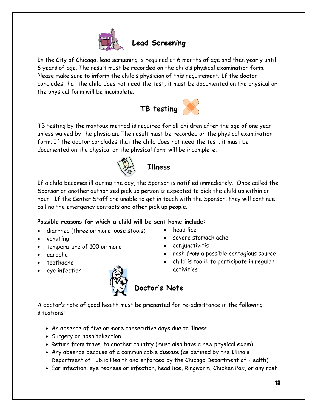

## **Lead Screening**

In the City of Chicago, lead screening is required at 6 months of age and then yearly until 6 years of age. The result must be recorded on the child's physical examination form. Please make sure to inform the child's physician of this requirement. If the doctor concludes that the child does not need the test, it must be documented on the physical or the physical form will be incomplete.



TB testing by the mantoux method is required for all children after the age of one year unless waived by the physician. The result must be recorded on the physical examination form. If the doctor concludes that the child does not need the test, it must be documented on the physical or the physical form will be incomplete.



## **Illness**

If a child becomes ill during the day, the Sponsor is notified immediately. Once called the Sponsor or another authorized pick up person is expected to pick the child up within an hour. If the Center Staff are unable to get in touch with the Sponsor, they will continue calling the emergency contacts and other pick up people.

#### **Possible reasons for which a child will be sent home include:**

- diarrhea (three or more loose stools)
- vomiting
- temperature of 100 or more
- earache
- toothache
- eye infection



- head lice
- severe stomach ache
- conjunctivitis
- rash from a possible contagious source
- child is too ill to participate in regular activities

A doctor's note of good health must be presented for re-admittance in the following situations:

- An absence of five or more consecutive days due to illness
- Surgery or hospitalization
- Return from travel to another country (must also have a new physical exam)
- Any absence because of a communicable disease (as defined by the Illinois Department of Public Health and enforced by the Chicago Department of Health)
- Ear infection, eye redness or infection, head lice, Ringworm, Chicken Pox, or any rash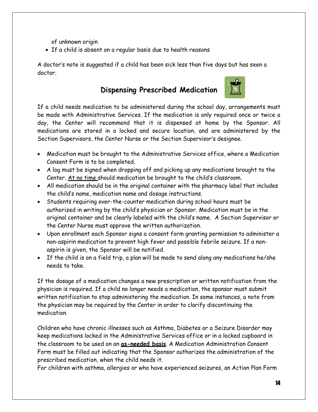of unknown origin

If a child is absent on a regular basis due to health reasons

A doctor's note is suggested if a child has been sick less than five days but has seen a doctor.

#### **Dispensing Prescribed Medication**



If a child needs medication to be administered during the school day, arrangements must be made with Administrative Services. If the medication is only required once or twice a day, the Center will recommend that it is dispensed at home by the Sponsor. All medications are stored in a locked and secure location, and are administered by the Section Supervisors, the Center Nurse or the Section Supervisor's designee.

- Medication must be brought to the Administrative Services office, where a Medication Consent Form is to be completed.
- A log must be signed when dropping off and picking up any medications brought to the Center. At no time should medication be brought to the child's classroom.
- All medication should be in the original container with the pharmacy label that includes the child's name, medication name and dosage instructions.
- Students requiring over-the-counter medication during school hours must be authorized in writing by the child's physician or Sponsor. Medication must be in the original container and be clearly labeled with the child's name. A Section Supervisor or the Center Nurse must approve the written authorization.
- Upon enrollment each Sponsor signs a consent form granting permission to administer a non-aspirin medication to prevent high fever and possible febrile seizure. If a nonaspirin is given, the Sponsor will be notified.
- If the child is on a field trip, a plan will be made to send along any medications he/she needs to take.

If the dosage of a medication changes a new prescription or written notification from the physician is required. If a child no longer needs a medication, the sponsor must submit written notification to stop administering the medication. In some instances, a note from the physician may be required by the Center in order to clarify discontinuing the medication.

Children who have chronic illnesses such as Asthma, Diabetes or a Seizure Disorder may keep medications locked in the Administrative Services office or in a locked cupboard in the classroom to be used on an **as-needed basis**. A Medication Administration Consent Form must be filled out indicating that the Sponsor authorizes the administration of the prescribed medication, when the child needs it.

For children with asthma, allergies or who have experienced seizures, an Action Plan Form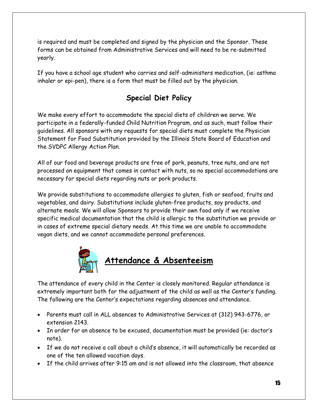is required and must be completed and signed by the physician and the Sponsor. These forms can be obtained from Administrative Services and will need to be re-submitted yearly.

If you have a school age student who carries and self-administers medication, (ie: asthma inhaler or epi-pen), there is a form that must be filled out by the physician.

#### **Special Diet Policy**

We make every effort to accommodate the special diets of children we serve. We participate in a federally-funded Child Nutrition Program, and as such, must follow their guidelines. All sponsors with any requests for special diets must complete the Physician Statement for Food Substitution provided by the Illinois State Board of Education and the SVDPC Allergy Action Plan.

All of our food and beverage products are free of pork, peanuts, tree nuts, and are not processed on equipment that comes in contact with nuts, so no special accommodations are necessary for special diets regarding nuts or pork products.

We provide substitutions to accommodate allergies to gluten, fish or seafood, fruits and vegetables, and dairy. Substitutions include gluten-free products, soy products, and alternate meals. We will allow Sponsors to provide their own food only if we receive specific medical documentation that the child is allergic to the substitution we provide or in cases of extreme special dietary needs. At this time we are unable to accommodate vegan diets, and we cannot accommodate personal preferences.



The attendance of every child in the Center is closely monitored. Regular attendance is extremely important both for the adjustment of the child as well as the Center's funding. The following are the Center's expectations regarding absences and attendance.

- Parents must call in ALL absences to Administrative Services at (312) 943-6776, or extension 2143.
- In order for an absence to be excused, documentation must be provided (ie: doctor's note).
- If we do not receive a call about a child's absence, it will automatically be recorded as one of the ten allowed vacation days.
- If the child arrives after 9:15 am and is not allowed into the classroom, that absence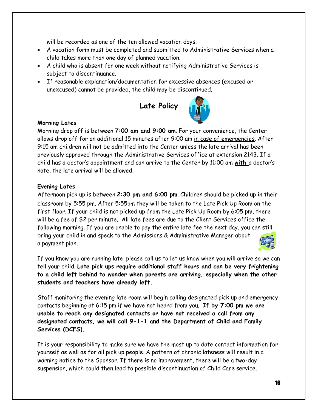will be recorded as one of the ten allowed vacation days.

- A vacation form must be completed and submitted to Administrative Services when a child takes more than one day of planned vacation.
- A child who is absent for one week without notifying Administrative Services is subject to discontinuance.
- If reasonable explanation/documentation for excessive absences (excused or unexcused) cannot be provided, the child may be discontinued.



#### **Morning Lates**

Morning drop off is between **7:00 am and 9:00 am**. For your convenience, the Center allows drop off for an additional 15 minutes after 9:00 am in case of emergencies. After 9:15 am children will not be admitted into the Center unless the late arrival has been previously approved through the Administrative Services office at extension 2143. If a child has a doctor's appointment and can arrive to the Center by 11:00 am **with** a doctor's note, the late arrival will be allowed.

#### **Evening Lates**

Afternoon pick up is between **2:30 pm and 6:00 pm**. Children should be picked up in their classroom by 5:55 pm. After 5:55pm they will be taken to the Late Pick Up Room on the first floor. If your child is not picked up from the Late Pick Up Room by 6:05 pm, there will be a fee of \$2 per minute. All late fees are due to the Client Services office the following morning. If you are unable to pay the entire late fee the next day, you can still bring your child in and speak to the Admissions & Administrative Manager about a payment plan.

If you know you are running late, please call us to let us know when you will arrive so we can tell your child. **Late pick ups require additional staff hours and can be very frightening to a child left behind to wonder when parents are arriving, especially when the other students and teachers have already left.**

Staff monitoring the evening late room will begin calling designated pick up and emergency contacts beginning at 6:15 pm if we have not heard from you. **If by 7:00 pm we are unable to reach any designated contacts or have not received a call from any designated contacts, we will call 9-1-1 and the Department of Child and Family Services (DCFS).**

It is your responsibility to make sure we have the most up to date contact information for yourself as well as for all pick up people. A pattern of chronic lateness will result in a warning notice to the Sponsor. If there is no improvement, there will be a two-day suspension, which could then lead to possible discontinuation of Child Care service.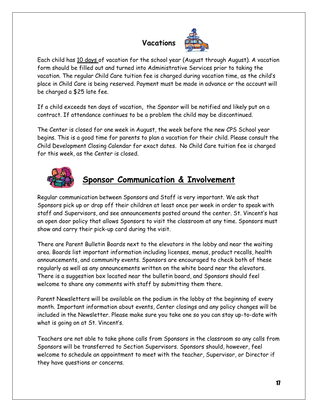# **Vacations**



Each child has 10 days of vacation for the school year (August through August). A vacation form should be filled out and turned into Administrative Services prior to taking the vacation. The regular Child Care tuition fee is charged during vacation time, as the child's place in Child Care is being reserved. Payment must be made in advance or the account will be charged a \$25 late fee.

If a child exceeds ten days of vacation**,** the Sponsor will be notified and likely put on a contract. If attendance continues to be a problem the child may be discontinued.

The Center is closed for one week in August, the week before the new CPS School year begins. This is a good time for parents to plan a vacation for their child. Please consult the Child Development Closing Calendar for exact dates. No Child Care tuition fee is charged for this week, as the Center is closed.



## **Sponsor Communication & Involvement**

Regular communication between Sponsors and Staff is very important. We ask that Sponsors pick up or drop off their children at least once per week in order to speak with staff and Supervisors, and see announcements posted around the center. St. Vincent's has an open door policy that allows Sponsors to visit the classroom at any time. Sponsors must show and carry their pick-up card during the visit.

There are Parent Bulletin Boards next to the elevators in the lobby and near the waiting area. Boards list important information including licenses, menus, product recalls, health announcements, and community events. Sponsors are encouraged to check both of these regularly as well as any announcements written on the white board near the elevators. There is a suggestion box located near the bulletin board, and Sponsors should feel welcome to share any comments with staff by submitting them there.

Parent Newsletters will be available on the podium in the lobby at the beginning of every month. Important information about events, Center closings and any policy changes will be included in the Newsletter. Please make sure you take one so you can stay up-to-date with what is going on at St. Vincent's.

Teachers are not able to take phone calls from Sponsors in the classroom so any calls from Sponsors will be transferred to Section Supervisors. Sponsors should, however, feel welcome to schedule an appointment to meet with the teacher, Supervisor, or Director if they have questions or concerns.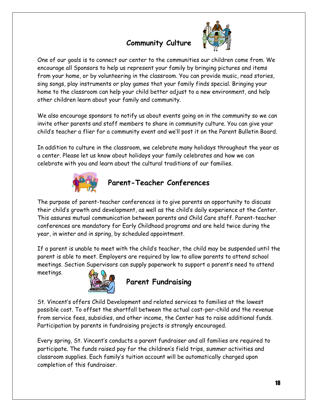# **Community Culture**



One of our goals is to connect our center to the communities our children come from. We encourage all Sponsors to help us represent your family by bringing pictures and items from your home, or by volunteering in the classroom. You can provide music, read stories, sing songs, play instruments or play games that your family finds special. Bringing your home to the classroom can help your child better adjust to a new environment, and help other children learn about your family and community.

We also encourage sponsors to notify us about events going on in the community so we can invite other parents and staff members to share in community culture. You can give your child's teacher a flier for a community event and we'll post it on the Parent Bulletin Board.

In addition to culture in the classroom, we celebrate many holidays throughout the year as a center. Please let us know about holidays your family celebrates and how we can celebrate with you and learn about the cultural traditions of our families.



#### **Parent-Teacher Conferences**

The purpose of parent-teacher conferences is to give parents an opportunity to discuss their child's growth and development, as well as the child's daily experience at the Center. This assures mutual communication between parents and Child Care staff. Parent-teacher conferences are mandatory for Early Childhood programs and are held twice during the year, in winter and in spring, by scheduled appointment.

If a parent is unable to meet with the child's teacher, the child may be suspended until the parent is able to meet. Employers are required by law to allow parents to attend school meetings. Section Supervisors can supply paperwork to support a parent's need to attend



meetings.

#### **Parent Fundraising**

St. Vincent's offers Child Development and related services to families at the lowest possible cost. To offset the shortfall between the actual cost-per-child and the revenue from service fees, subsidies, and other income, the Center has to raise additional funds. Participation by parents in fundraising projects is strongly encouraged.

Every spring, St. Vincent's conducts a parent fundraiser and all families are required to participate. The funds raised pay for the children's field trips, summer activities and classroom supplies. Each family's tuition account will be automatically charged upon completion of this fundraiser.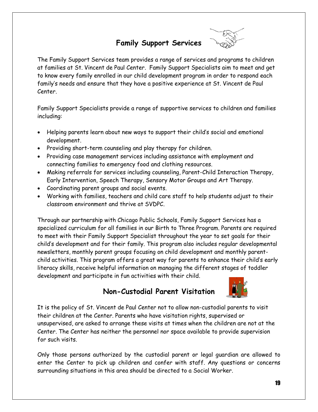#### **Family Support Services**



The Family Support Services team provides a range of services and programs to children at families at St. Vincent de Paul Center. Family Support Specialists aim to meet and get to know every family enrolled in our child development program in order to respond each family's needs and ensure that they have a positive experience at St. Vincent de Paul Center.

Family Support Specialists provide a range of supportive services to children and families including:

- Helping parents learn about new ways to support their child's social and emotional development.
- Providing short-term counseling and play therapy for children.
- Providing case management services including assistance with employment and connecting families to emergency food and clothing resources.
- Making referrals for services including counseling, Parent-Child Interaction Therapy, Early Intervention, Speech Therapy, Sensory Motor Groups and Art Therapy.
- Coordinating parent groups and social events.
- Working with families, teachers and child care staff to help students adjust to their classroom environment and thrive at SVDPC.

Through our partnership with Chicago Public Schools, Family Support Services has a specialized curriculum for all families in our Birth to Three Program. Parents are required to meet with their Family Support Specialist throughout the year to set goals for their child's development and for their family. This program also includes regular developmental newsletters, monthly parent groups focusing on child development and monthly parentchild activities. This program offers a great way for parents to enhance their child's early literacy skills, receive helpful information on managing the different stages of toddler development and participate in fun activities with their child.

#### **Non-Custodial Parent Visitation**



It is the policy of St. Vincent de Paul Center not to allow non-custodial parents to visit their children at the Center. Parents who have visitation rights, supervised or unsupervised, are asked to arrange these visits at times when the children are not at the Center. The Center has neither the personnel nor space available to provide supervision for such visits.

Only those persons authorized by the custodial parent or legal guardian are allowed to enter the Center to pick up children and confer with staff. Any questions or concerns surrounding situations in this area should be directed to a Social Worker.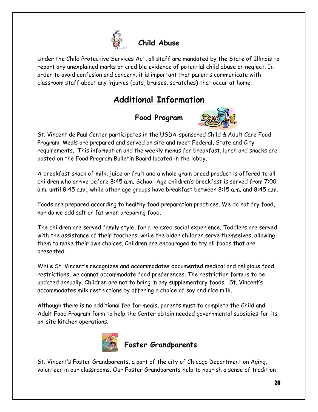

## **Child Abuse**

Under the Child Protective Services Act, all staff are mandated by the State of Illinois to report any unexplained marks or credible evidence of potential child abuse or neglect. In order to avoid confusion and concern, it is important that parents communicate with classroom staff about any injuries (cuts, bruises, scratches) that occur at home.

## **Additional Information**

**Food Program**



St. Vincent de Paul Center participates in the USDA-sponsored Child & Adult Care Food Program. Meals are prepared and served on site and meet Federal, State and City requirements. This information and the weekly menus for breakfast, lunch and snacks are posted on the Food Program Bulletin Board located in the lobby.

A breakfast snack of milk, juice or fruit and a whole grain bread product is offered to all children who arrive before 8:45 a.m. School-Age children's breakfast is served from 7:00 a.m. until 8:45 a.m., while other age groups have breakfast between 8:15 a.m. and 8:45 a.m.

Foods are prepared according to healthy food preparation practices. We do not fry food, nor do we add salt or fat when preparing food.

The children are served family style, for a relaxed social experience. Toddlers are served with the assistance of their teachers, while the older children serve themselves, allowing them to make their own choices. Children are encouraged to try all foods that are presented.

While St. Vincent's recognizes and accommodates documented medical and religious food restrictions, we cannot accommodate food preferences. The restriction form is to be updated annually. Children are not to bring in any supplementary foods. St. Vincent's accommodates milk restrictions by offering a choice of soy and rice milk.

Although there is no additional fee for meals, parents must to complete the Child and Adult Food Program form to help the Center obtain needed governmental subsidies for its on-site kitchen operations.



## **Foster Grandparents**

St. Vincent's Foster Grandparents, a part of the city of Chicago Department on Aging, volunteer in our classrooms. Our Foster Grandparents help to nourish a sense of tradition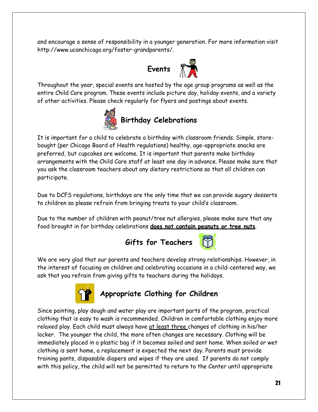and encourage a sense of responsibility in a younger generation. For more information visit http://www.ucanchicago.org/foster-grandparents/.



Throughout the year, special events are hosted by the age group programs as well as the entire Child Care program. These events include picture day, holiday events, and a variety of other activities. Please check regularly for flyers and postings about events.



It is important for a child to celebrate a birthday with classroom friends. Simple, storebought (per Chicago Board of Health regulations) healthy, age-appropriate snacks are preferred, but cupcakes are welcome. It is important that parents make birthday arrangements with the Child Care staff at least one day in advance. Please make sure that you ask the classroom teachers about any dietary restrictions so that all children can participate.

Due to DCFS regulations, birthdays are the only time that we can provide sugary desserts to children so please refrain from bringing treats to your child's classroom.

Due to the number of children with peanut/tree nut allergies, please make sure that any food brought in for birthday celebrations **does not contain peanuts or tree nuts**.



We are very glad that our parents and teachers develop strong relationships. However, in the interest of focusing on children and celebrating occasions in a child-centered way, we ask that you refrain from giving gifts to teachers during the holidays.



#### **Appropriate Clothing for Children**

Since painting, play dough and water play are important parts of the program, practical clothing that is easy to wash is recommended. Children in comfortable clothing enjoy more relaxed play. Each child must always have at least three changes of clothing in his/her locker. The younger the child, the more often changes are necessary. Clothing will be immediately placed in a plastic bag if it becomes soiled and sent home. When soiled or wet clothing is sent home, a replacement is expected the next day. Parents must provide training pants, disposable diapers and wipes if they are used. If parents do not comply with this policy, the child will not be permitted to return to the Center until appropriate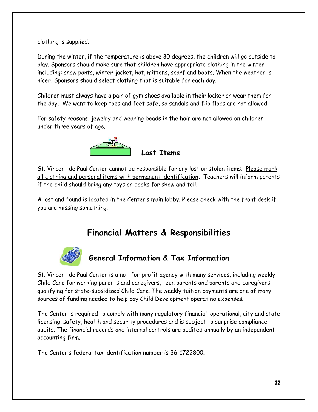clothing is supplied.

During the winter, if the temperature is above 30 degrees, the children will go outside to play. Sponsors should make sure that children have appropriate clothing in the winter including: snow pants, winter jacket, hat, mittens, scarf and boots. When the weather is nicer, Sponsors should select clothing that is suitable for each day.

Children must always have a pair of gym shoes available in their locker or wear them for the day. We want to keep toes and feet safe, so sandals and flip flops are not allowed.

For safety reasons, jewelry and wearing beads in the hair are not allowed on children under three years of age.



St. Vincent de Paul Center cannot be responsible for any lost or stolen items. Please mark all clothing and personal items with permanent identification**.** Teachers will inform parents if the child should bring any toys or books for show and tell.

A lost and found is located in the Center's main lobby. Please check with the front desk if you are missing something.

#### **Financial Matters & Responsibilities**



## **General Information & Tax Information**

St. Vincent de Paul Center is a not-for-profit agency with many services, including weekly Child Care for working parents and caregivers, teen parents and parents and caregivers qualifying for state-subsidized Child Care. The weekly tuition payments are one of many sources of funding needed to help pay Child Development operating expenses.

The Center is required to comply with many regulatory financial, operational, city and state licensing, safety, health and security procedures and is subject to surprise compliance audits. The financial records and internal controls are audited annually by an independent accounting firm.

The Center's federal tax identification number is 36-1722800.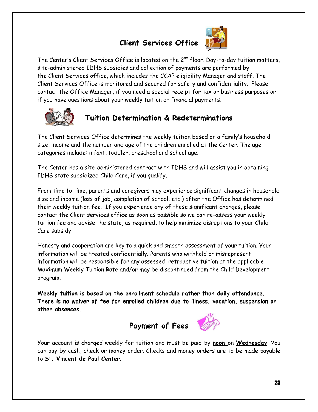## **Client Services Office**



The Center's Client Services Office is located on the  $2^{nd}$  floor. Day-to-day tuition matters, site-administered IDHS subsidies and collection of payments are performed by the Client Services office, which includes the CCAP eligibility Manager and staff. The Client Services Office is monitored and secured for safety and confidentiality. Please contact the Office Manager, if you need a special receipt for tax or business purposes or if you have questions about your weekly tuition or financial payments.



## **Tuition Determination & Redeterminations**

The Client Services Office determines the weekly tuition based on a family's household size, income and the number and age of the children enrolled at the Center. The age categories include: infant, toddler, preschool and school age.

The Center has a site-administered contract with IDHS and will assist you in obtaining IDHS state subsidized Child Care, if you qualify.

From time to time, parents and caregivers may experience significant changes in household size and income (loss of job, completion of school, etc.) after the Office has determined their weekly tuition fee. If you experience any of these significant changes, please contact the Client services office as soon as possible so we can re-assess your weekly tuition fee and advise the state, as required, to help minimize disruptions to your Child Care subsidy.

Honesty and cooperation are key to a quick and smooth assessment of your tuition. Your information will be treated confidentially. Parents who withhold or misrepresent information will be responsible for any assessed, retroactive tuition at the applicable Maximum Weekly Tuition Rate and/or may be discontinued from the Child Development program.

**Weekly tuition is based on the enrollment schedule rather than daily attendance. There is no waiver of fee for enrolled children due to illness, vacation, suspension or other absences.**



Your account is charged weekly for tuition and must be paid by **noon** on **Wednesday**. You can pay by cash, check or money order. Checks and money orders are to be made payable to **St. Vincent de Paul Center**.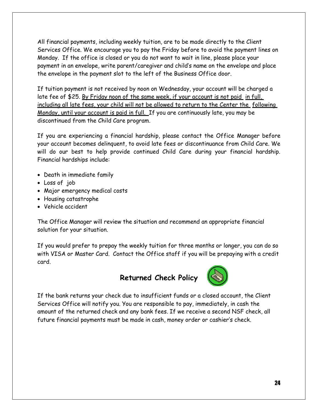All financial payments, including weekly tuition, are to be made directly to the Client Services Office. We encourage you to pay the Friday before to avoid the payment lines on Monday. If the office is closed or you do not want to wait in line, please place your payment in an envelope, write parent/caregiver and child's name on the envelope and place the envelope in the payment slot to the left of the Business Office door.

If tuition payment is not received by noon on Wednesday, your account will be charged a late fee of \$25. By Friday noon of the same week, if your account is not paid in full. including all late fees, your child will not be allowed to return to the Center the following Monday, until your account is paid in full. If you are continuously late, you may be discontinued from the Child Care program.

If you are experiencing a financial hardship, please contact the Office Manager before your account becomes delinquent, to avoid late fees or discontinuance from Child Care. We will do our best to help provide continued Child Care during your financial hardship. Financial hardships include:

- Death in immediate family
- Loss of job
- Major emergency medical costs
- Housing catastrophe
- Vehicle accident

The Office Manager will review the situation and recommend an appropriate financial solution for your situation.

If you would prefer to prepay the weekly tuition for three months or longer, you can do so with VISA or Master Card. Contact the Office staff if you will be prepaying with a credit card.

#### **Returned Check Policy**



If the bank returns your check due to insufficient funds or a closed account, the Client Services Office will notify you. You are responsible to pay, immediately, in cash the amount of the returned check and any bank fees. If we receive a second NSF check, all future financial payments must be made in cash, money order or cashier's check.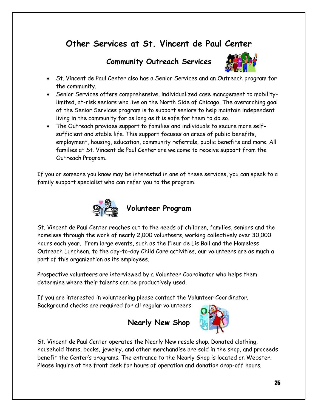## **Other Services at St. Vincent de Paul Center**

#### **Community Outreach Services**



- St. Vincent de Paul Center also has a Senior Services and an Outreach program for the community.
- Senior Services offers comprehensive, individualized case management to mobilitylimited, at-risk seniors who live on the North Side of Chicago. The overarching goal of the Senior Services program is to support seniors to help maintain independent living in the community for as long as it is safe for them to do so.
- The Outreach provides support to families and individuals to secure more selfsufficient and stable life. This support focuses on areas of public benefits, employment, housing, education, community referrals, public benefits and more. All families at St. Vincent de Paul Center are welcome to receive support from the Outreach Program.

If you or someone you know may be interested in one of these services, you can speak to a family support specialist who can refer you to the program.



St. Vincent de Paul Center reaches out to the needs of children, families, seniors and the homeless through the work of nearly 2,000 volunteers, working collectively over 30,000 hours each year. From large events, such as the Fleur de Lis Ball and the Homeless Outreach Luncheon, to the day-to-day Child Care activities, our volunteers are as much a part of this organization as its employees.

Prospective volunteers are interviewed by a Volunteer Coordinator who helps them determine where their talents can be productively used.

If you are interested in volunteering please contact the Volunteer Coordinator. Background checks are required for all regular volunteers

#### **Nearly New Shop**



St. Vincent de Paul Center operates the Nearly New resale shop. Donated clothing, household items, books, jewelry, and other merchandise are sold in the shop, and proceeds benefit the Center's programs. The entrance to the Nearly Shop is located on Webster. Please inquire at the front desk for hours of operation and donation drop-off hours.